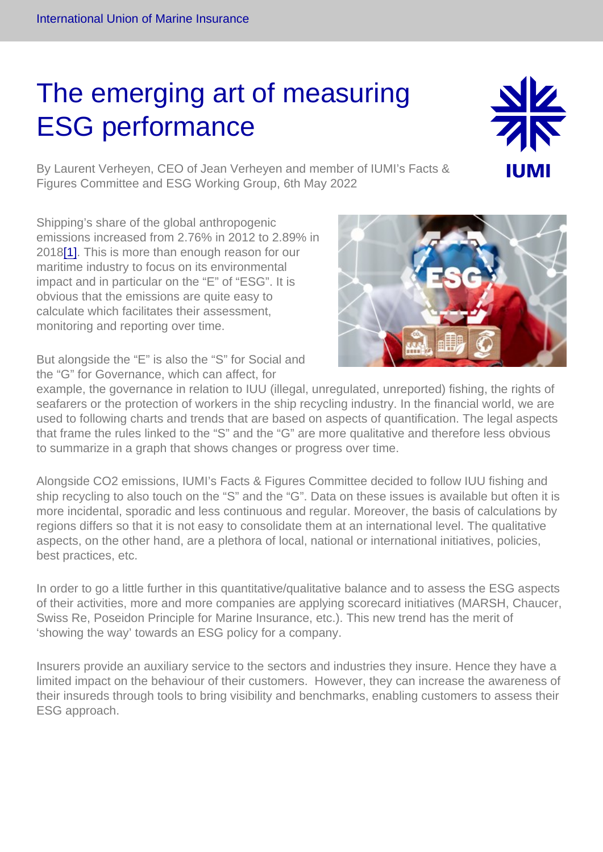## <span id="page-0-0"></span>The emerging art of measuring ESG performance

By Laurent Verheyen, CEO of Jean Verheyen and member of IUMI's Facts & Figures Committee and ESG Working Group, 6th May 2022

Shipping's share of the global anthropogenic emissions increased from 2.76% in 2012 to 2.89% in 2018[\[1\]](#page-1-0). This is more than enough reason for our maritime industry to focus on its environmental impact and in particular on the "E" of "ESG". It is obvious that the emissions are quite easy to calculate which facilitates their assessment, monitoring and reporting over time.

But alongside the "E" is also the "S" for Social and the "G" for Governance, which can affect, for

example, the governance in relation to IUU (illegal, unregulated, unreported) fishing, the rights of seafarers or the protection of workers in the ship recycling industry. In the financial world, we are used to following charts and trends that are based on aspects of quantification. The legal aspects that frame the rules linked to the "S" and the "G" are more qualitative and therefore less obvious to summarize in a graph that shows changes or progress over time.

Alongside CO2 emissions, IUMI's Facts & Figures Committee decided to follow IUU fishing and ship recycling to also touch on the "S" and the "G". Data on these issues is available but often it is more incidental, sporadic and less continuous and regular. Moreover, the basis of calculations by regions differs so that it is not easy to consolidate them at an international level. The qualitative aspects, on the other hand, are a plethora of local, national or international initiatives, policies, best practices, etc.

In order to go a little further in this quantitative/qualitative balance and to assess the ESG aspects of their activities, more and more companies are applying scorecard initiatives (MARSH, Chaucer, Swiss Re, Poseidon Principle for Marine Insurance, etc.). This new trend has the merit of 'showing the way' towards an ESG policy for a company.

Insurers provide an auxiliary service to the sectors and industries they insure. Hence they have a limited impact on the behaviour of their customers. However, they can increase the awareness of their insureds through tools to bring visibility and benchmarks, enabling customers to assess their ESG approach.